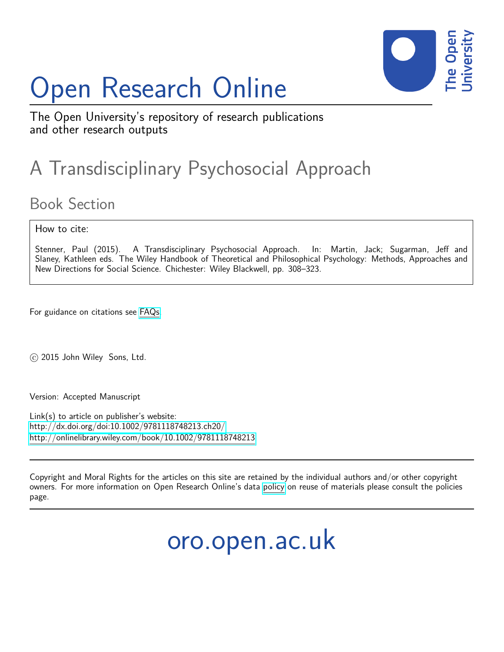# Open Research Online



The Open University's repository of research publications and other research outputs

# A Transdisciplinary Psychosocial Approach

Book Section

How to cite:

Stenner, Paul (2015). A Transdisciplinary Psychosocial Approach. In: Martin, Jack; Sugarman, Jeff and Slaney, Kathleen eds. The Wiley Handbook of Theoretical and Philosophical Psychology: Methods, Approaches and New Directions for Social Science. Chichester: Wiley Blackwell, pp. 308–323.

For guidance on citations see [FAQs.](http://oro.open.ac.uk/help/helpfaq.html)

c 2015 John Wiley Sons, Ltd.

Version: Accepted Manuscript

Link(s) to article on publisher's website: <http://dx.doi.org/doi:10.1002/9781118748213.ch20/> <http://onlinelibrary.wiley.com/book/10.1002/9781118748213>

Copyright and Moral Rights for the articles on this site are retained by the individual authors and/or other copyright owners. For more information on Open Research Online's data [policy](http://oro.open.ac.uk/policies.html) on reuse of materials please consult the policies page.

oro.open.ac.uk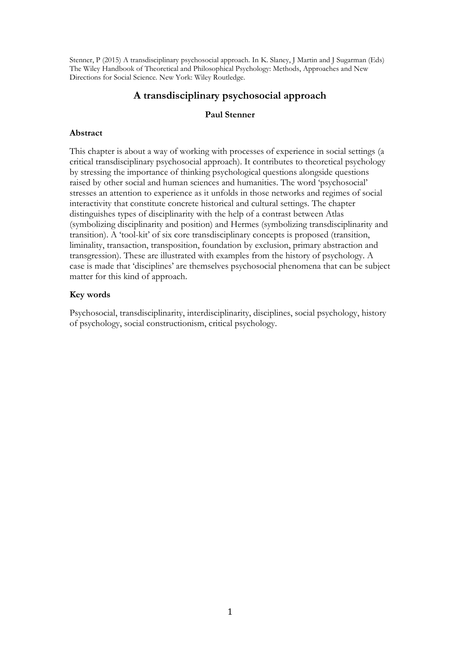Stenner, P (2015) A transdisciplinary psychosocial approach. In K. Slaney, J Martin and J Sugarman (Eds) The Wiley Handbook of Theoretical and Philosophical Psychology: Methods, Approaches and New Directions for Social Science. New York: Wiley Routledge.

# **A transdisciplinary psychosocial approach**

#### **Paul Stenner**

#### **Abstract**

This chapter is about a way of working with processes of experience in social settings (a critical transdisciplinary psychosocial approach). It contributes to theoretical psychology by stressing the importance of thinking psychological questions alongside questions raised by other social and human sciences and humanities. The word 'psychosocial' stresses an attention to experience as it unfolds in those networks and regimes of social interactivity that constitute concrete historical and cultural settings. The chapter distinguishes types of disciplinarity with the help of a contrast between Atlas (symbolizing disciplinarity and position) and Hermes (symbolizing transdisciplinarity and transition). A 'tool-kit' of six core transdisciplinary concepts is proposed (transition, liminality, transaction, transposition, foundation by exclusion, primary abstraction and transgression). These are illustrated with examples from the history of psychology. A case is made that 'disciplines' are themselves psychosocial phenomena that can be subject matter for this kind of approach.

#### **Key words**

Psychosocial, transdisciplinarity, interdisciplinarity, disciplines, social psychology, history of psychology, social constructionism, critical psychology.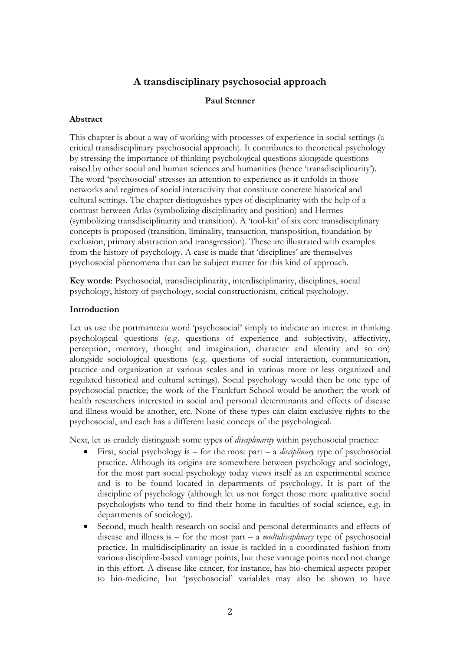# **A transdisciplinary psychosocial approach**

#### **Paul Stenner**

#### **Abstract**

This chapter is about a way of working with processes of experience in social settings (a critical transdisciplinary psychosocial approach). It contributes to theoretical psychology by stressing the importance of thinking psychological questions alongside questions raised by other social and human sciences and humanities (hence 'transdisciplinarity'). The word 'psychosocial' stresses an attention to experience as it unfolds in those networks and regimes of social interactivity that constitute concrete historical and cultural settings. The chapter distinguishes types of disciplinarity with the help of a contrast between Atlas (symbolizing disciplinarity and position) and Hermes (symbolizing transdisciplinarity and transition). A 'tool-kit' of six core transdisciplinary concepts is proposed (transition, liminality, transaction, transposition, foundation by exclusion, primary abstraction and transgression). These are illustrated with examples from the history of psychology. A case is made that 'disciplines' are themselves psychosocial phenomena that can be subject matter for this kind of approach.

**Key words**: Psychosocial, transdisciplinarity, interdisciplinarity, disciplines, social psychology, history of psychology, social constructionism, critical psychology.

#### **Introduction**

Let us use the portmanteau word 'psychosocial' simply to indicate an interest in thinking psychological questions (e.g. questions of experience and subjectivity, affectivity, perception, memory, thought and imagination, character and identity and so on) alongside sociological questions (e.g. questions of social interaction, communication, practice and organization at various scales and in various more or less organized and regulated historical and cultural settings). Social psychology would then be one type of psychosocial practice; the work of the Frankfurt School would be another; the work of health researchers interested in social and personal determinants and effects of disease and illness would be another, etc. None of these types can claim exclusive rights to the psychosocial, and each has a different basic concept of the psychological.

Next, let us crudely distinguish some types of *disciplinarity* within psychosocial practice:

- First, social psychology is for the most part a *disciplinary* type of psychosocial practice. Although its origins are somewhere between psychology and sociology, for the most part social psychology today views itself as an experimental science and is to be found located in departments of psychology. It is part of the discipline of psychology (although let us not forget those more qualitative social psychologists who tend to find their home in faculties of social science, e.g. in departments of sociology).
- Second, much health research on social and personal determinants and effects of disease and illness is – for the most part – a *multidisciplinary* type of psychosocial practice. In multidisciplinarity an issue is tackled in a coordinated fashion from various discipline-based vantage points, but these vantage points need not change in this effort. A disease like cancer, for instance, has bio-chemical aspects proper to bio-medicine, but 'psychosocial' variables may also be shown to have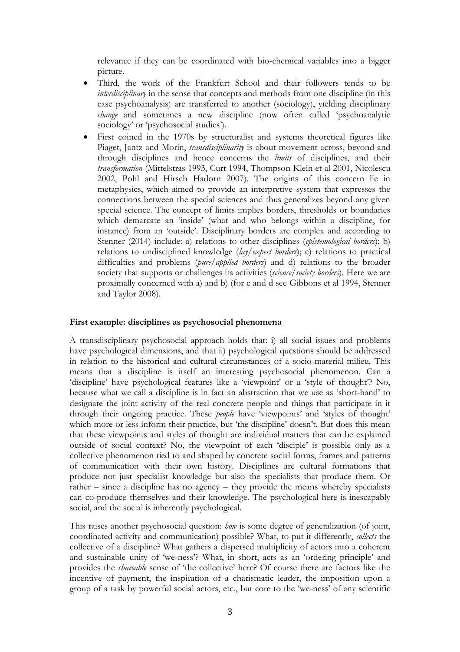relevance if they can be coordinated with bio-chemical variables into a bigger picture.

- Third, the work of the Frankfurt School and their followers tends to be *interdisciplinary* in the sense that concepts and methods from one discipline (in this case psychoanalysis) are transferred to another (sociology), yielding disciplinary *change* and sometimes a new discipline (now often called 'psychoanalytic sociology' or 'psychosocial studies').
- First coined in the 1970s by structuralist and systems theoretical figures like Piaget, Jantz and Morin, *transdisciplinarity* is about movement across, beyond and through disciplines and hence concerns the *limits* of disciplines, and their *transformation* (Mittelstras 1993, Curt 1994, Thompson Klein et al 2001, Nicolescu 2002, Pohl and Hirsch Hadorn 2007). The origins of this concern lie in metaphysics, which aimed to provide an interpretive system that expresses the connections between the special sciences and thus generalizes beyond any given special science. The concept of limits implies borders, thresholds or boundaries which demarcate an 'inside' (what and who belongs within a discipline, for instance) from an 'outside'. Disciplinary borders are complex and according to Stenner (2014) include: a) relations to other disciplines (*epistemological borders*); b) relations to undisciplined knowledge (*lay/expert borders*); c) relations to practical difficulties and problems (*pure/applied borders*) and d) relations to the broader society that supports or challenges its activities (*science/society borders*). Here we are proximally concerned with a) and b) (for c and d see Gibbons et al 1994, Stenner and Taylor 2008).

#### **First example: disciplines as psychosocial phenomena**

A transdisciplinary psychosocial approach holds that: i) all social issues and problems have psychological dimensions, and that ii) psychological questions should be addressed in relation to the historical and cultural circumstances of a socio-material milieu. This means that a discipline is itself an interesting psychosocial phenomenon. Can a 'discipline' have psychological features like a 'viewpoint' or a 'style of thought'? No, because what we call a discipline is in fact an abstraction that we use as 'short-hand' to designate the joint activity of the real concrete people and things that participate in it through their ongoing practice. These *people* have 'viewpoints' and 'styles of thought' which more or less inform their practice, but 'the discipline' doesn't. But does this mean that these viewpoints and styles of thought are individual matters that can be explained outside of social context? No, the viewpoint of each 'disciple' is possible only as a collective phenomenon tied to and shaped by concrete social forms, frames and patterns of communication with their own history. Disciplines are cultural formations that produce not just specialist knowledge but also the specialists that produce them. Or rather – since a discipline has no agency – they provide the means whereby specialists can co-produce themselves and their knowledge. The psychological here is inescapably social, and the social is inherently psychological.

This raises another psychosocial question: *how* is some degree of generalization (of joint, coordinated activity and communication) possible? What, to put it differently, *collects* the collective of a discipline? What gathers a dispersed multiplicity of actors into a coherent and sustainable unity of 'we-ness'? What, in short, acts as an 'ordering principle' and provides the *shareable* sense of 'the collective' here? Of course there are factors like the incentive of payment, the inspiration of a charismatic leader, the imposition upon a group of a task by powerful social actors, etc., but core to the 'we-ness' of any scientific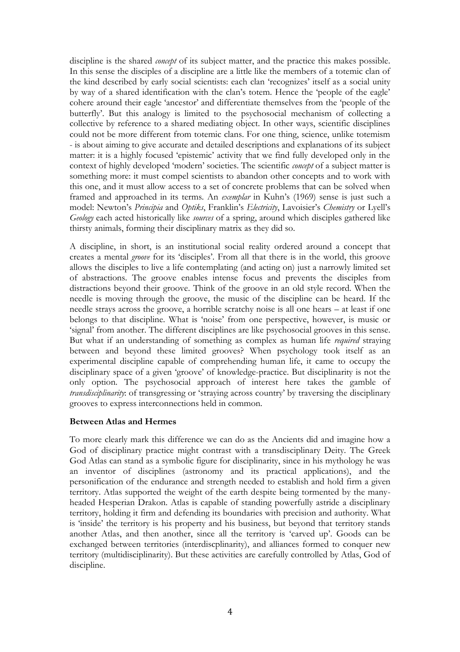discipline is the shared *concept* of its subject matter, and the practice this makes possible. In this sense the disciples of a discipline are a little like the members of a totemic clan of the kind described by early social scientists: each clan 'recognizes' itself as a social unity by way of a shared identification with the clan's totem. Hence the 'people of the eagle' cohere around their eagle 'ancestor' and differentiate themselves from the 'people of the butterfly'. But this analogy is limited to the psychosocial mechanism of collecting a collective by reference to a shared mediating object. In other ways, scientific disciplines could not be more different from totemic clans. For one thing, science, unlike totemism - is about aiming to give accurate and detailed descriptions and explanations of its subject matter: it is a highly focused 'epistemic' activity that we find fully developed only in the context of highly developed 'modern' societies. The scientific *concept* of a subject matter is something more: it must compel scientists to abandon other concepts and to work with this one, and it must allow access to a set of concrete problems that can be solved when framed and approached in its terms. An *exemplar* in Kuhn's (1969) sense is just such a model: Newton's *Principia* and *Optiks*, Franklin's *Electricity*, Lavoisier's *Chemistry* or Lyell's *Geology* each acted historically like *sources* of a spring, around which disciples gathered like thirsty animals, forming their disciplinary matrix as they did so.

A discipline, in short, is an institutional social reality ordered around a concept that creates a mental *groove* for its 'disciples'. From all that there is in the world, this groove allows the disciples to live a life contemplating (and acting on) just a narrowly limited set of abstractions. The groove enables intense focus and prevents the disciples from distractions beyond their groove. Think of the groove in an old style record. When the needle is moving through the groove, the music of the discipline can be heard. If the needle strays across the groove, a horrible scratchy noise is all one hears – at least if one belongs to that discipline. What is 'noise' from one perspective, however, is music or 'signal' from another. The different disciplines are like psychosocial grooves in this sense. But what if an understanding of something as complex as human life *required* straying between and beyond these limited grooves? When psychology took itself as an experimental discipline capable of comprehending human life, it came to occupy the disciplinary space of a given 'groove' of knowledge-practice. But disciplinarity is not the only option. The psychosocial approach of interest here takes the gamble of *transdisciplinarity*: of transgressing or 'straying across country' by traversing the disciplinary grooves to express interconnections held in common.

## **Between Atlas and Hermes**

To more clearly mark this difference we can do as the Ancients did and imagine how a God of disciplinary practice might contrast with a transdisciplinary Deity. The Greek God Atlas can stand as a symbolic figure for disciplinarity, since in his mythology he was an inventor of disciplines (astronomy and its practical applications), and the personification of the endurance and strength needed to establish and hold firm a given territory. Atlas supported the weight of the earth despite being tormented by the manyheaded Hesperian Drakon. Atlas is capable of standing powerfully astride a disciplinary territory, holding it firm and defending its boundaries with precision and authority. What is 'inside' the territory is his property and his business, but beyond that territory stands another Atlas, and then another, since all the territory is 'carved up'. Goods can be exchanged between territories (interdiscplinarity), and alliances formed to conquer new territory (multidisciplinarity). But these activities are carefully controlled by Atlas, God of discipline.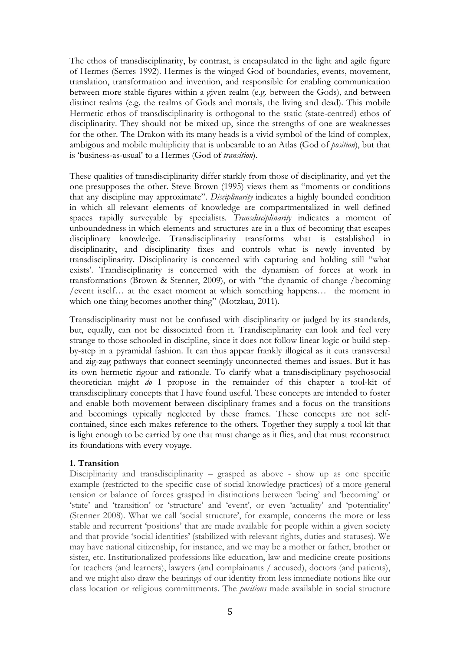The ethos of transdisciplinarity, by contrast, is encapsulated in the light and agile figure of Hermes (Serres 1992). Hermes is the winged God of boundaries, events, movement, translation, transformation and invention, and responsible for enabling communication between more stable figures within a given realm (e.g. between the Gods), and between distinct realms (e.g. the realms of Gods and mortals, the living and dead). This mobile Hermetic ethos of transdisciplinarity is orthogonal to the static (state-centred) ethos of disciplinarity. They should not be mixed up, since the strengths of one are weaknesses for the other. The Drakon with its many heads is a vivid symbol of the kind of complex, ambigous and mobile multiplicity that is unbearable to an Atlas (God of *position*), but that is 'business-as-usual' to a Hermes (God of *transition*).

These qualities of transdisciplinarity differ starkly from those of disciplinarity, and yet the one presupposes the other. Steve Brown (1995) views them as "moments or conditions that any discipline may approximate". *Disciplinarity* indicates a highly bounded condition in which all relevant elements of knowledge are compartmentalized in well defined spaces rapidly surveyable by specialists. *Transdisciplinarity* indicates a moment of unboundedness in which elements and structures are in a flux of becoming that escapes disciplinary knowledge. Transdisciplinarity transforms what is established in disciplinarity, and disciplinarity fixes and controls what is newly invented by transdisciplinarity. Disciplinarity is concerned with capturing and holding still "what exists'. Trandisciplinarity is concerned with the dynamism of forces at work in transformations (Brown & Stenner, 2009), or with "the dynamic of change /becoming /event itself… at the exact moment at which something happens… the moment in which one thing becomes another thing" (Motzkau, 2011).

Transdisciplinarity must not be confused with disciplinarity or judged by its standards, but, equally, can not be dissociated from it. Trandisciplinarity can look and feel very strange to those schooled in discipline, since it does not follow linear logic or build stepby-step in a pyramidal fashion. It can thus appear frankly illogical as it cuts transversal and zig-zag pathways that connect seemingly unconnected themes and issues. But it has its own hermetic rigour and rationale. To clarify what a transdisciplinary psychosocial theoretician might *do* I propose in the remainder of this chapter a tool-kit of transdisciplinary concepts that I have found useful. These concepts are intended to foster and enable both movement between disciplinary frames and a focus on the transitions and becomings typically neglected by these frames. These concepts are not selfcontained, since each makes reference to the others. Together they supply a tool kit that is light enough to be carried by one that must change as it flies, and that must reconstruct its foundations with every voyage.

## **1. Transition**

Disciplinarity and transdisciplinarity – grasped as above - show up as one specific example (restricted to the specific case of social knowledge practices) of a more general tension or balance of forces grasped in distinctions between 'being' and 'becoming' or 'state' and 'transition' or 'structure' and 'event', or even 'actuality' and 'potentiality' (Stenner 2008). What we call 'social structure', for example, concerns the more or less stable and recurrent 'positions' that are made available for people within a given society and that provide 'social identities' (stabilized with relevant rights, duties and statuses). We may have national citizenship, for instance, and we may be a mother or father, brother or sister, etc. Institutionalized professions like education, law and medicine create positions for teachers (and learners), lawyers (and complainants / accused), doctors (and patients), and we might also draw the bearings of our identity from less immediate notions like our class location or religious committments. The *positions* made available in social structure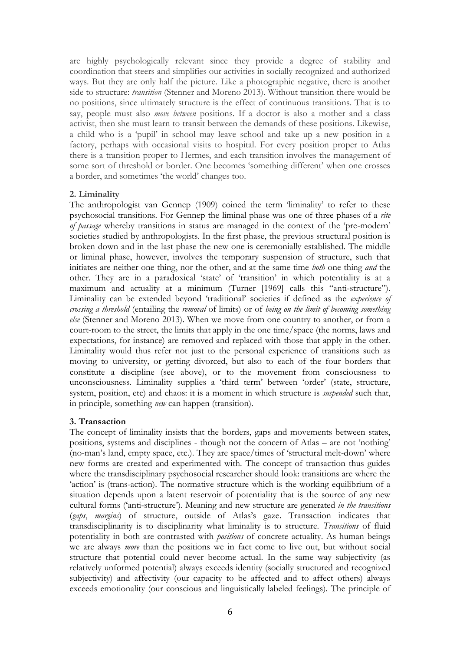are highly psychologically relevant since they provide a degree of stability and coordination that steers and simplifies our activities in socially recognized and authorized ways. But they are only half the picture. Like a photographic negative, there is another side to structure: *transition* (Stenner and Moreno 2013). Without transition there would be no positions, since ultimately structure is the effect of continuous transitions. That is to say, people must also *move between* positions. If a doctor is also a mother and a class activist, then she must learn to transit between the demands of these positions. Likewise, a child who is a 'pupil' in school may leave school and take up a new position in a factory, perhaps with occasional visits to hospital. For every position proper to Atlas there is a transition proper to Hermes, and each transition involves the management of some sort of threshold or border. One becomes 'something different' when one crosses a border, and sometimes 'the world' changes too.

#### **2. Liminality**

The anthropologist van Gennep (1909) coined the term 'liminality' to refer to these psychosocial transitions. For Gennep the liminal phase was one of three phases of a *rite of passage* whereby transitions in status are managed in the context of the 'pre-modern' societies studied by anthropologists. In the first phase, the previous structural position is broken down and in the last phase the new one is ceremonially established. The middle or liminal phase, however, involves the temporary suspension of structure, such that initiates are neither one thing, nor the other, and at the same time *both* one thing *and* the other. They are in a paradoxical 'state' of 'transition' in which potentiality is at a maximum and actuality at a minimum (Turner [1969] calls this "anti-structure"). Liminality can be extended beyond 'traditional' societies if defined as the *experience of crossing a threshold* (entailing the *removal* of limits) or of *being on the limit of becoming something else* (Stenner and Moreno 2013). When we move from one country to another, or from a court-room to the street, the limits that apply in the one time/space (the norms, laws and expectations, for instance) are removed and replaced with those that apply in the other. Liminality would thus refer not just to the personal experience of transitions such as moving to university, or getting divorced, but also to each of the four borders that constitute a discipline (see above), or to the movement from consciousness to unconsciousness. Liminality supplies a 'third term' between 'order' (state, structure, system, position, etc) and chaos: it is a moment in which structure is *suspended* such that, in principle, something *new* can happen (transition).

## **3. Transaction**

The concept of liminality insists that the borders, gaps and movements between states, positions, systems and disciplines - though not the concern of Atlas – are not 'nothing' (no-man's land, empty space, etc.). They are space/times of 'structural melt-down' where new forms are created and experimented with. The concept of transaction thus guides where the transdisciplinary psychosocial researcher should look: transitions are where the 'action' is (trans-action). The normative structure which is the working equilibrium of a situation depends upon a latent reservoir of potentiality that is the source of any new cultural forms ('anti-structure'). Meaning and new structure are generated *in the transitions*  (*gaps*, *margins*) of structure, outside of Atlas's gaze. Transaction indicates that transdisciplinarity is to disciplinarity what liminality is to structure. *Transitions* of fluid potentiality in both are contrasted with *positions* of concrete actuality. As human beings we are always *more* than the positions we in fact come to live out, but without social structure that potential could never become actual. In the same way subjectivity (as relatively unformed potential) always exceeds identity (socially structured and recognized subjectivity) and affectivity (our capacity to be affected and to affect others) always exceeds emotionality (our conscious and linguistically labeled feelings). The principle of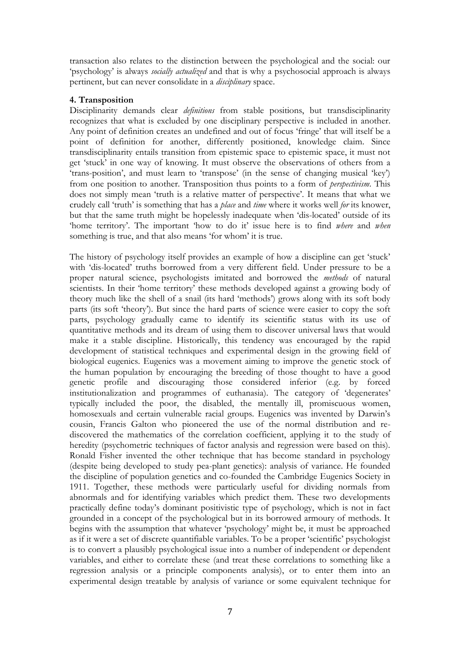transaction also relates to the distinction between the psychological and the social: our 'psychology' is always *socially actualized* and that is why a psychosocial approach is always pertinent, but can never consolidate in a *disciplinary* space.

# **4. Transposition**

Disciplinarity demands clear *definitions* from stable positions, but transdisciplinarity recognizes that what is excluded by one disciplinary perspective is included in another. Any point of definition creates an undefined and out of focus 'fringe' that will itself be a point of definition for another, differently positioned, knowledge claim. Since transdisciplinarity entails transition from epistemic space to epistemic space, it must not get 'stuck' in one way of knowing. It must observe the observations of others from a 'trans-position', and must learn to 'transpose' (in the sense of changing musical 'key') from one position to another. Transposition thus points to a form of *perspectivism*. This does not simply mean 'truth is a relative matter of perspective'. It means that what we crudely call 'truth' is something that has a *place* and *time* where it works well *for* its knower, but that the same truth might be hopelessly inadequate when 'dis-located' outside of its 'home territory'. The important 'how to do it' issue here is to find *where* and *when* something is true, and that also means 'for whom' it is true.

The history of psychology itself provides an example of how a discipline can get 'stuck' with 'dis-located' truths borrowed from a very different field. Under pressure to be a proper natural science, psychologists imitated and borrowed the *methods* of natural scientists. In their 'home territory' these methods developed against a growing body of theory much like the shell of a snail (its hard 'methods') grows along with its soft body parts (its soft 'theory'). But since the hard parts of science were easier to copy the soft parts, psychology gradually came to identify its scientific status with its use of quantitative methods and its dream of using them to discover universal laws that would make it a stable discipline. Historically, this tendency was encouraged by the rapid development of statistical techniques and experimental design in the growing field of biological eugenics. Eugenics was a movement aiming to improve the genetic stock of the human population by encouraging the breeding of those thought to have a good genetic profile and discouraging those considered inferior (e.g. by forced institutionalization and programmes of euthanasia). The category of 'degenerates' typically included the poor, the disabled, the mentally ill, promiscuous women, homosexuals and certain vulnerable racial groups. Eugenics was invented by Darwin's cousin, Francis Galton who pioneered the use of the normal distribution and rediscovered the mathematics of the correlation coefficient, applying it to the study of heredity (psychometric techniques of factor analysis and regression were based on this). Ronald Fisher invented the other technique that has become standard in psychology (despite being developed to study pea-plant genetics): analysis of variance. He founded the discipline of population genetics and co-founded the Cambridge Eugenics Society in 1911. Together, these methods were particularly useful for dividing normals from abnormals and for identifying variables which predict them. These two developments practically define today's dominant positivistic type of psychology, which is not in fact grounded in a concept of the psychological but in its borrowed armoury of methods. It begins with the assumption that whatever 'psychology' might be, it must be approached as if it were a set of discrete quantifiable variables. To be a proper 'scientific' psychologist is to convert a plausibly psychological issue into a number of independent or dependent variables, and either to correlate these (and treat these correlations to something like a regression analysis or a principle components analysis), or to enter them into an experimental design treatable by analysis of variance or some equivalent technique for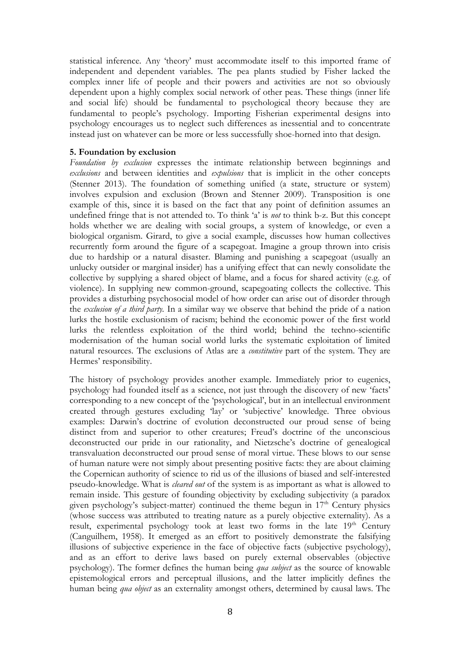statistical inference. Any 'theory' must accommodate itself to this imported frame of independent and dependent variables. The pea plants studied by Fisher lacked the complex inner life of people and their powers and activities are not so obviously dependent upon a highly complex social network of other peas. These things (inner life and social life) should be fundamental to psychological theory because they are fundamental to people's psychology. Importing Fisherian experimental designs into psychology encourages us to neglect such differences as inessential and to concentrate instead just on whatever can be more or less successfully shoe-horned into that design.

#### **5. Foundation by exclusion**

*Foundation by exclusion* expresses the intimate relationship between beginnings and *exclusions* and between identities and *expulsions* that is implicit in the other concepts (Stenner 2013). The foundation of something unified (a state, structure or system) involves expulsion and exclusion (Brown and Stenner 2009). Transposition is one example of this, since it is based on the fact that any point of definition assumes an undefined fringe that is not attended to. To think 'a' is *not* to think b-z. But this concept holds whether we are dealing with social groups, a system of knowledge, or even a biological organism. Girard, to give a social example, discusses how human collectives recurrently form around the figure of a scapegoat. Imagine a group thrown into crisis due to hardship or a natural disaster. Blaming and punishing a scapegoat (usually an unlucky outsider or marginal insider) has a unifying effect that can newly consolidate the collective by supplying a shared object of blame, and a focus for shared activity (e.g. of violence). In supplying new common-ground, scapegoating collects the collective. This provides a disturbing psychosocial model of how order can arise out of disorder through the *exclusion of a third party.* In a similar way we observe that behind the pride of a nation lurks the hostile exclusionism of racism; behind the economic power of the first world lurks the relentless exploitation of the third world; behind the techno-scientific modernisation of the human social world lurks the systematic exploitation of limited natural resources. The exclusions of Atlas are a *constitutive* part of the system. They are Hermes' responsibility.

The history of psychology provides another example. Immediately prior to eugenics, psychology had founded itself as a science, not just through the discovery of new 'facts' corresponding to a new concept of the 'psychological', but in an intellectual environment created through gestures excluding 'lay' or 'subjective' knowledge. Three obvious examples: Darwin's doctrine of evolution deconstructed our proud sense of being distinct from and superior to other creatures; Freud's doctrine of the unconscious deconstructed our pride in our rationality, and Nietzsche's doctrine of genealogical transvaluation deconstructed our proud sense of moral virtue. These blows to our sense of human nature were not simply about presenting positive facts: they are about claiming the Copernican authority of science to rid us of the illusions of biased and self-interested pseudo-knowledge. What is *cleared out* of the system is as important as what is allowed to remain inside. This gesture of founding objectivity by excluding subjectivity (a paradox given psychology's subject-matter) continued the theme begun in  $17<sup>th</sup>$  Century physics (whose success was attributed to treating nature as a purely objective externality). As a result, experimental psychology took at least two forms in the late  $19<sup>th</sup>$  Century (Canguilhem, 1958). It emerged as an effort to positively demonstrate the falsifying illusions of subjective experience in the face of objective facts (subjective psychology), and as an effort to derive laws based on purely external observables (objective psychology). The former defines the human being *qua subject* as the source of knowable epistemological errors and perceptual illusions, and the latter implicitly defines the human being *qua object* as an externality amongst others, determined by causal laws. The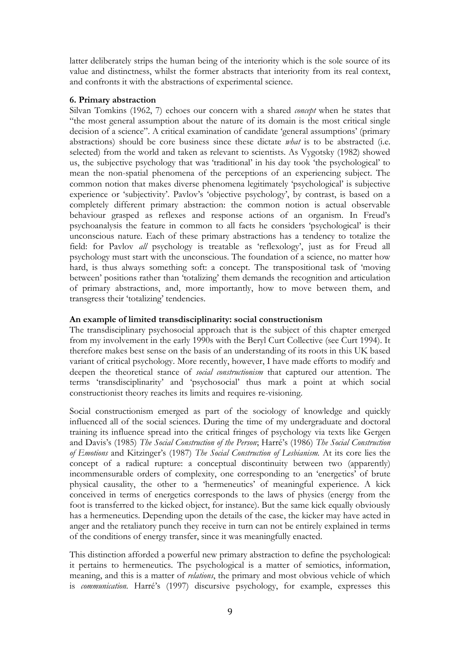latter deliberately strips the human being of the interiority which is the sole source of its value and distinctness, whilst the former abstracts that interiority from its real context, and confronts it with the abstractions of experimental science.

#### **6. Primary abstraction**

Silvan Tomkins (1962, 7) echoes our concern with a shared *concept* when he states that "the most general assumption about the nature of its domain is the most critical single decision of a science". A critical examination of candidate 'general assumptions' (primary abstractions) should be core business since these dictate *what* is to be abstracted (i.e. selected) from the world and taken as relevant to scientists. As Vygotsky (1982) showed us, the subjective psychology that was 'traditional' in his day took 'the psychological' to mean the non-spatial phenomena of the perceptions of an experiencing subject. The common notion that makes diverse phenomena legitimately 'psychological' is subjective experience or 'subjectivity'. Pavlov's 'objective psychology', by contrast, is based on a completely different primary abstraction: the common notion is actual observable behaviour grasped as reflexes and response actions of an organism. In Freud's psychoanalysis the feature in common to all facts he considers 'psychological' is their unconscious nature. Each of these primary abstractions has a tendency to totalize the field: for Pavlov *all* psychology is treatable as 'reflexology', just as for Freud all psychology must start with the unconscious. The foundation of a science, no matter how hard, is thus always something soft: a concept. The transpositional task of 'moving between' positions rather than 'totalizing' them demands the recognition and articulation of primary abstractions, and, more importantly, how to move between them, and transgress their 'totalizing' tendencies.

## **An example of limited transdisciplinarity: social constructionism**

The transdisciplinary psychosocial approach that is the subject of this chapter emerged from my involvement in the early 1990s with the Beryl Curt Collective (see Curt 1994). It therefore makes best sense on the basis of an understanding of its roots in this UK based variant of critical psychology. More recently, however, I have made efforts to modify and deepen the theoretical stance of *social constructionism* that captured our attention. The terms 'transdisciplinarity' and 'psychosocial' thus mark a point at which social constructionist theory reaches its limits and requires re-visioning.

Social constructionism emerged as part of the sociology of knowledge and quickly influenced all of the social sciences. During the time of my undergraduate and doctoral training its influence spread into the critical fringes of psychology via texts like Gergen and Davis's (1985) *The Social Construction of the Person*; Harré's (1986) *The Social Construction of Emotions* and Kitzinger's (1987) *The Social Construction of Lesbianism.* At its core lies the concept of a radical rupture: a conceptual discontinuity between two (apparently) incommensurable orders of complexity, one corresponding to an 'energetics' of brute physical causality, the other to a 'hermeneutics' of meaningful experience. A kick conceived in terms of energetics corresponds to the laws of physics (energy from the foot is transferred to the kicked object, for instance). But the same kick equally obviously has a hermeneutics. Depending upon the details of the case, the kicker may have acted in anger and the retaliatory punch they receive in turn can not be entirely explained in terms of the conditions of energy transfer, since it was meaningfully enacted.

This distinction afforded a powerful new primary abstraction to define the psychological: it pertains to hermeneutics. The psychological is a matter of semiotics, information, meaning, and this is a matter of *relations*, the primary and most obvious vehicle of which is *communication.* Harré's (1997) discursive psychology, for example, expresses this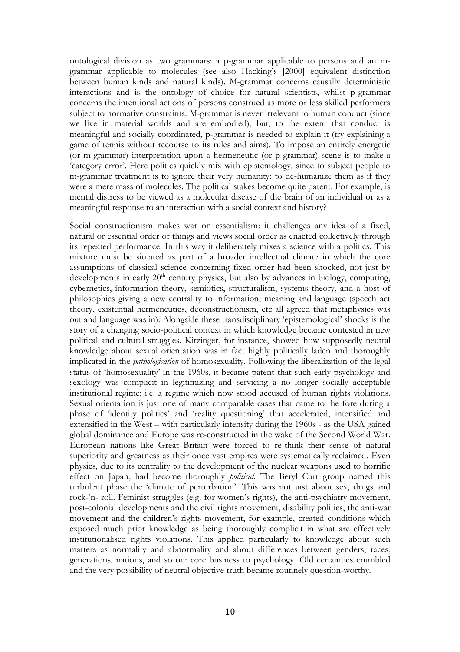ontological division as two grammars: a p-grammar applicable to persons and an mgrammar applicable to molecules (see also Hacking's [2000] equivalent distinction between human kinds and natural kinds). M-grammar concerns causally deterministic interactions and is the ontology of choice for natural scientists, whilst p-grammar concerns the intentional actions of persons construed as more or less skilled performers subject to normative constraints. M-grammar is never irrelevant to human conduct (since we live in material worlds and are embodied), but, to the extent that conduct is meaningful and socially coordinated, p-grammar is needed to explain it (try explaining a game of tennis without recourse to its rules and aims). To impose an entirely energetic (or m-grammar) interpretation upon a hermeneutic (or p-grammar) scene is to make a 'category error'. Here politics quickly mix with epistemology, since to subject people to m-grammar treatment is to ignore their very humanity: to de-humanize them as if they were a mere mass of molecules. The political stakes become quite patent. For example, is mental distress to be viewed as a molecular disease of the brain of an individual or as a meaningful response to an interaction with a social context and history?

Social constructionism makes war on essentialism: it challenges any idea of a fixed, natural or essential order of things and views social order as enacted collectively through its repeated performance. In this way it deliberately mixes a science with a politics. This mixture must be situated as part of a broader intellectual climate in which the core assumptions of classical science concerning fixed order had been shocked, not just by developments in early  $20<sup>th</sup>$  century physics, but also by advances in biology, computing, cybernetics, information theory, semiotics, structuralism, systems theory, and a host of philosophies giving a new centrality to information, meaning and language (speech act theory, existential hermeneutics, deconstructionism, etc all agreed that metaphysics was out and language was in). Alongside these transdisciplinary 'epistemological' shocks is the story of a changing socio-political context in which knowledge became contested in new political and cultural struggles. Kitzinger, for instance, showed how supposedly neutral knowledge about sexual orientation was in fact highly politically laden and thoroughly implicated in the *pathologisation* of homosexuality. Following the liberalization of the legal status of 'homosexuality' in the 1960s, it became patent that such early psychology and sexology was complicit in legitimizing and servicing a no longer socially acceptable institutional regime: i.e. a regime which now stood accused of human rights violations. Sexual orientation is just one of many comparable cases that came to the fore during a phase of 'identity politics' and 'reality questioning' that accelerated, intensified and extensified in the West – with particularly intensity during the 1960s - as the USA gained global dominance and Europe was re-constructed in the wake of the Second World War. European nations like Great Britain were forced to re-think their sense of natural superiority and greatness as their once vast empires were systematically reclaimed. Even physics, due to its centrality to the development of the nuclear weapons used to horrific effect on Japan, had become thoroughly *political*. The Beryl Curt group named this turbulent phase the 'climate of perturbation'. This was not just about sex, drugs and rock-'n- roll. Feminist struggles (e.g. for women's rights), the anti-psychiatry movement, post-colonial developments and the civil rights movement, disability politics, the anti-war movement and the children's rights movement, for example, created conditions which exposed much prior knowledge as being thoroughly complicit in what are effectively institutionalised rights violations. This applied particularly to knowledge about such matters as normality and abnormality and about differences between genders, races, generations, nations, and so on: core business to psychology. Old certainties crumbled and the very possibility of neutral objective truth became routinely question-worthy.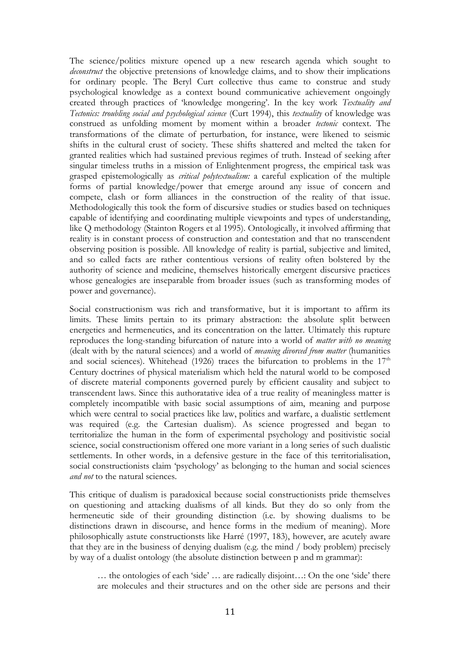The science/politics mixture opened up a new research agenda which sought to *deconstruct* the objective pretensions of knowledge claims, and to show their implications for ordinary people. The Beryl Curt collective thus came to construe and study psychological knowledge as a context bound communicative achievement ongoingly created through practices of 'knowledge mongering'. In the key work *Textuality and Tectonics: troubling social and psychological science* (Curt 1994), this *textuality* of knowledge was construed as unfolding moment by moment within a broader *tectonic* context. The transformations of the climate of perturbation, for instance, were likened to seismic shifts in the cultural crust of society. These shifts shattered and melted the taken for granted realities which had sustained previous regimes of truth. Instead of seeking after singular timeless truths in a mission of Enlightenment progress, the empirical task was grasped epistemologically as *critical polytextualism:* a careful explication of the multiple forms of partial knowledge/power that emerge around any issue of concern and compete, clash or form alliances in the construction of the reality of that issue. Methodologically this took the form of discursive studies or studies based on techniques capable of identifying and coordinating multiple viewpoints and types of understanding, like Q methodology (Stainton Rogers et al 1995). Ontologically, it involved affirming that reality is in constant process of construction and contestation and that no transcendent observing position is possible. All knowledge of reality is partial, subjective and limited, and so called facts are rather contentious versions of reality often bolstered by the authority of science and medicine, themselves historically emergent discursive practices whose genealogies are inseparable from broader issues (such as transforming modes of power and governance).

Social constructionism was rich and transformative, but it is important to affirm its limits. These limits pertain to its primary abstraction: the absolute split between energetics and hermeneutics, and its concentration on the latter. Ultimately this rupture reproduces the long-standing bifurcation of nature into a world of *matter with no meaning* (dealt with by the natural sciences) and a world of *meaning divorced from matter* (humanities and social sciences). Whitehead (1926) traces the bifurcation to problems in the  $17<sup>th</sup>$ Century doctrines of physical materialism which held the natural world to be composed of discrete material components governed purely by efficient causality and subject to transcendent laws. Since this authoratative idea of a true reality of meaningless matter is completely incompatible with basic social assumptions of aim, meaning and purpose which were central to social practices like law, politics and warfare, a dualistic settlement was required (e.g. the Cartesian dualism). As science progressed and began to territorialize the human in the form of experimental psychology and positivistic social science, social constructionism offered one more variant in a long series of such dualistic settlements. In other words, in a defensive gesture in the face of this territorialisation, social constructionists claim 'psychology' as belonging to the human and social sciences *and not* to the natural sciences.

This critique of dualism is paradoxical because social constructionists pride themselves on questioning and attacking dualisms of all kinds. But they do so only from the hermeneutic side of their grounding distinction (i.e. by showing dualisms to be distinctions drawn in discourse, and hence forms in the medium of meaning). More philosophically astute constructionsts like Harré (1997, 183), however, are acutely aware that they are in the business of denying dualism (e.g. the mind / body problem) precisely by way of a dualist ontology (the absolute distinction between p and m grammar):

… the ontologies of each 'side' … are radically disjoint…: On the one 'side' there are molecules and their structures and on the other side are persons and their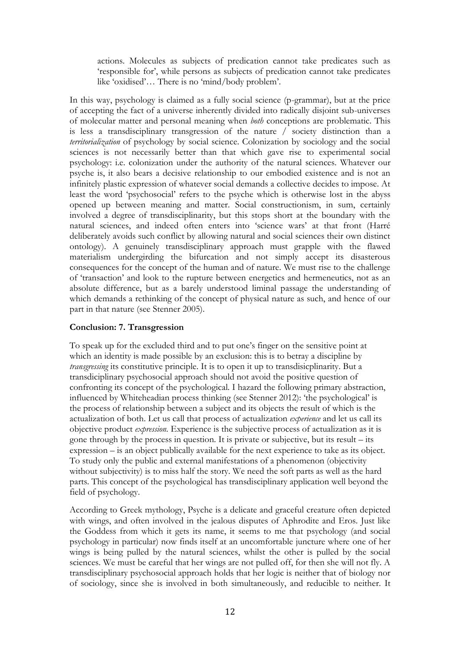actions. Molecules as subjects of predication cannot take predicates such as 'responsible for', while persons as subjects of predication cannot take predicates like 'oxidised'… There is no 'mind/body problem'.

In this way, psychology is claimed as a fully social science (p-grammar), but at the price of accepting the fact of a universe inherently divided into radically disjoint sub-universes of molecular matter and personal meaning when *both* conceptions are problematic. This is less a transdisciplinary transgression of the nature / society distinction than a *territorialization* of psychology by social science. Colonization by sociology and the social sciences is not necessarily better than that which gave rise to experimental social psychology: i.e. colonization under the authority of the natural sciences. Whatever our psyche is, it also bears a decisive relationship to our embodied existence and is not an infinitely plastic expression of whatever social demands a collective decides to impose. At least the word 'psychosocial' refers to the psyche which is otherwise lost in the abyss opened up between meaning and matter. Social constructionism, in sum, certainly involved a degree of transdisciplinarity, but this stops short at the boundary with the natural sciences, and indeed often enters into 'science wars' at that front (Harré deliberately avoids such conflict by allowing natural and social sciences their own distinct ontology). A genuinely transdisciplinary approach must grapple with the flawed materialism undergirding the bifurcation and not simply accept its disasterous consequences for the concept of the human and of nature. We must rise to the challenge of 'transaction' and look to the rupture between energetics and hermeneutics, not as an absolute difference, but as a barely understood liminal passage the understanding of which demands a rethinking of the concept of physical nature as such, and hence of our part in that nature (see Stenner 2005).

## **Conclusion: 7. Transgression**

To speak up for the excluded third and to put one's finger on the sensitive point at which an identity is made possible by an exclusion: this is to betray a discipline by *transgressing* its constitutive principle. It is to open it up to transdisicplinarity. But a transdiciplinary psychosocial approach should not avoid the positive question of confronting its concept of the psychological. I hazard the following primary abstraction, influenced by Whiteheadian process thinking (see Stenner 2012): 'the psychological' is the process of relationship between a subject and its objects the result of which is the actualization of both. Let us call that process of actualization *experience* and let us call its objective product *expression.* Experience is the subjective process of actualization as it is gone through by the process in question. It is private or subjective, but its result – its expression – is an object publically available for the next experience to take as its object. To study only the public and external manifestations of a phenomenon (objectivity without subjectivity) is to miss half the story. We need the soft parts as well as the hard parts. This concept of the psychological has transdisciplinary application well beyond the field of psychology.

According to Greek mythology, Psyche is a delicate and graceful creature often depicted with wings, and often involved in the jealous disputes of Aphrodite and Eros. Just like the Goddess from which it gets its name, it seems to me that psychology (and social psychology in particular) now finds itself at an uncomfortable juncture where one of her wings is being pulled by the natural sciences, whilst the other is pulled by the social sciences. We must be careful that her wings are not pulled off, for then she will not fly. A transdisciplinary psychosocial approach holds that her logic is neither that of biology nor of sociology, since she is involved in both simultaneously, and reducible to neither. It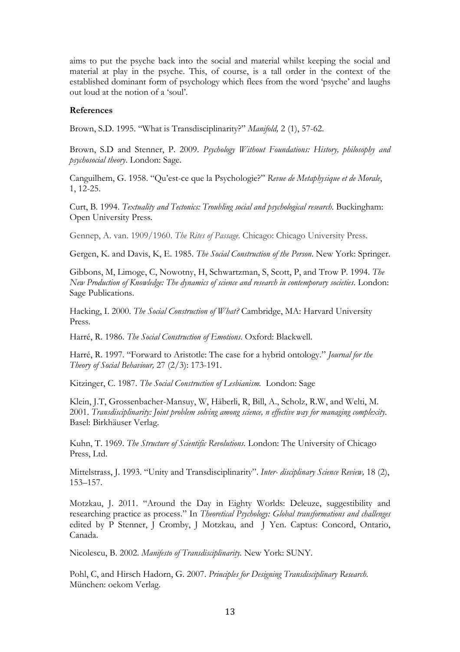aims to put the psyche back into the social and material whilst keeping the social and material at play in the psyche. This, of course, is a tall order in the context of the established dominant form of psychology which flees from the word 'psyche' and laughs out loud at the notion of a 'soul'.

#### **References**

Brown, S.D. 1995. "What is Transdisciplinarity?" *Manifold,* 2 (1), 57-62.

Brown, S.D and Stenner, P. 2009. *Psychology Without Foundations: History, philosophy and psychosocial theory*. London: Sage.

Canguilhem, G. 1958. "Qu'est-ce que la Psychologie?" *Revue de Metaphysique et de Morale*, 1, 12-25.

Curt, B. 1994. *Textuality and Tectonics: Troubling social and psychological research*. Buckingham: Open University Press.

Gennep, A. van. 1909/1960. *The Rites of Passage*. Chicago: Chicago University Press.

Gergen, K. and Davis, K, E. 1985. *The Social Construction of the Person*. New York: Springer.

Gibbons, M, Limoge, C, Nowotny, H, Schwartzman, S, Scott, P, and Trow P. 1994. *The New Production of Knowledge: The dynamics of science and research in contemporary societies*. London: Sage Publications.

Hacking, I. 2000. *The Social Construction of What?* Cambridge, MA: Harvard University Press.

Harré, R. 1986. *The Social Construction of Emotions*. Oxford: Blackwell.

Harré, R. 1997. "Forward to Aristotle: The case for a hybrid ontology." *Journal for the Theory of Social Behaviour,* 27 (2/3): 173-191.

Kitzinger, C. 1987. *The Social Construction of Lesbianism.* London: Sage

Klein, J.T, Grossenbacher-Mansuy, W, Häberli, R, Bill, A., Scholz, R.W, and Welti, M. 2001. *Transdisciplinarity: Joint problem solving among science, n effective way for managing complexity*. Basel: Birkhäuser Verlag.

Kuhn, T. 1969. *The Structure of Scientific Revolutions*. London: The University of Chicago Press, Ltd.

Mittelstrass, J. 1993. "Unity and Transdisciplinarity". *Inter- disciplinary Science Review,* 18 (2), 153–157.

Motzkau, J. 2011. "Around the Day in Eighty Worlds: Deleuze, suggestibility and researching practice as process." In *Theoretical Psychology: Global transformations and challenges* edited by P Stenner, J Cromby, J Motzkau, and J Yen. Captus: Concord, Ontario, Canada.

Nicolescu, B. 2002. *Manifesto of Transdisciplinarity.* New York: SUNY.

Pohl, C, and Hirsch Hadorn, G. 2007. *Principles for Designing Transdisciplinary Research.*  München: oekom Verlag.